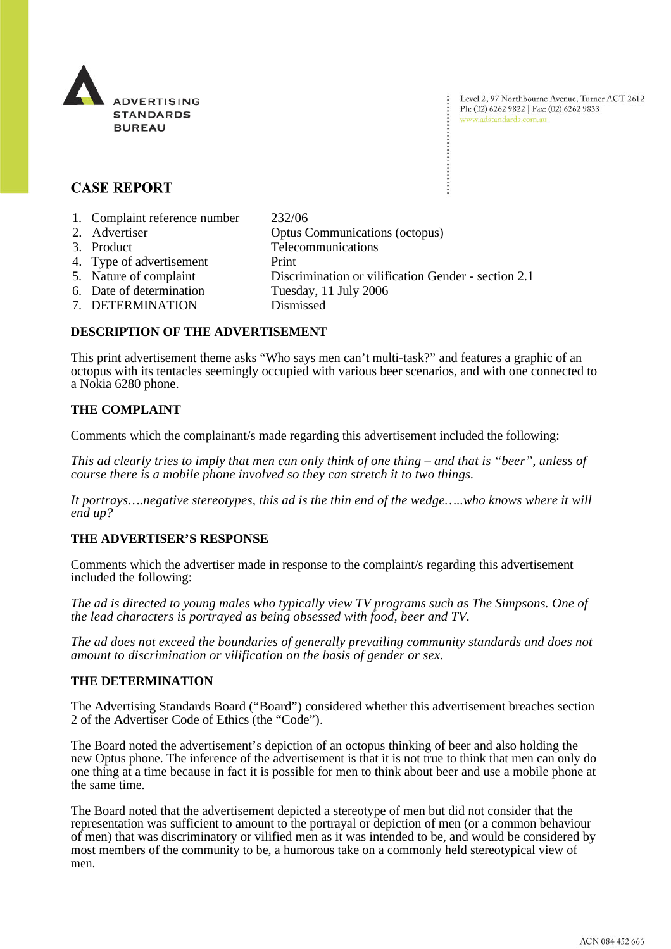

Level 2, 97 Northbourne Avenue, Turner ACT 2612 Ph: (02) 6262 9822 | Fax: (02) 6262 9833 www.adstandards.com.au

# **CASE REPORT**

- 1. Complaint reference number 232/06
- 2. Advertiser Optus Communications (octopus)
- 
- 3. Product Telecommunications
- 4. Type of advertisement Print
- 5. Nature of complaint Discrimination or vilification Gender section 2.1
- 6. Date of determination Tuesday, 11 July 2006
- 7. DETERMINATION Dismissed

## **DESCRIPTION OF THE ADVERTISEMENT**

This print advertisement theme asks "Who says men can't multi-task?" and features a graphic of an octopus with its tentacles seemingly occupied with various beer scenarios, and with one connected to a Nokia 6280 phone.

## **THE COMPLAINT**

Comments which the complainant/s made regarding this advertisement included the following:

*This ad clearly tries to imply that men can only think of one thing – and that is "beer", unless of course there is a mobile phone involved so they can stretch it to two things.* 

*It portrays….negative stereotypes, this ad is the thin end of the wedge…..who knows where it will end up?* 

## **THE ADVERTISER'S RESPONSE**

Comments which the advertiser made in response to the complaint/s regarding this advertisement included the following:

*The ad is directed to young males who typically view TV programs such as The Simpsons. One of the lead characters is portrayed as being obsessed with food, beer and TV.* 

*The ad does not exceed the boundaries of generally prevailing community standards and does not amount to discrimination or vilification on the basis of gender or sex.* 

## **THE DETERMINATION**

The Advertising Standards Board ("Board") considered whether this advertisement breaches section 2 of the Advertiser Code of Ethics (the "Code").

The Board noted the advertisement's depiction of an octopus thinking of beer and also holding the new Optus phone. The inference of the advertisement is that it is not true to think that men can only do one thing at a time because in fact it is possible for men to think about beer and use a mobile phone at the same time.

The Board noted that the advertisement depicted a stereotype of men but did not consider that the representation was sufficient to amount to the portrayal or depiction of men (or a common behaviour of men) that was discriminatory or vilified men as it was intended to be, and would be considered by most members of the community to be, a humorous take on a commonly held stereotypical view of men.